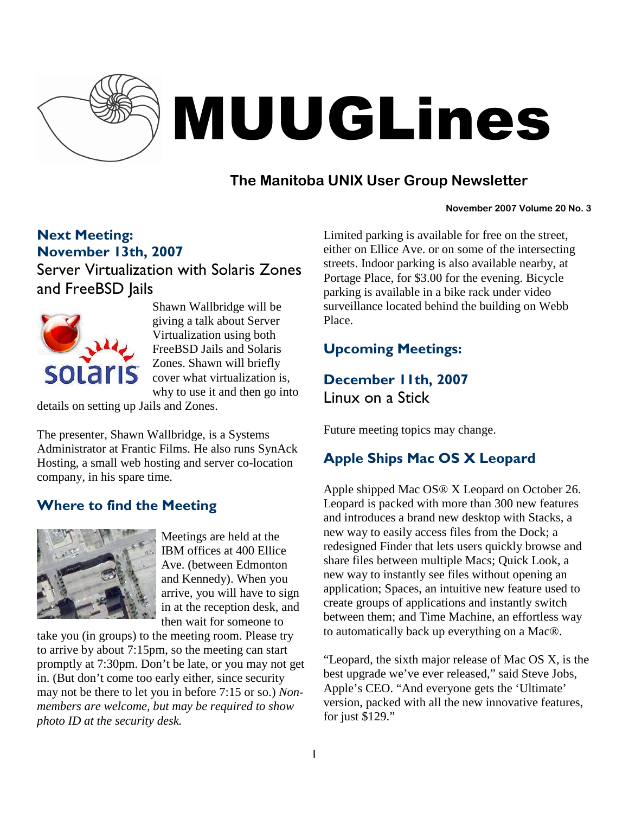

# MUUGLines

# **The Manitoba UNIX User Group Newsletter**

#### **November 2007 Volume 20 No. 3**

## Next Meeting: November 13th, 2007

Server Virtualization with Solaris Zones and FreeBSD Jails



Shawn Wallbridge will be giving a talk about Server Virtualization using both FreeBSD Jails and Solaris Zones. Shawn will briefly cover what virtualization is, why to use it and then go into

details on setting up Jails and Zones.

The presenter, Shawn Wallbridge, is a Systems Administrator at Frantic Films. He also runs SynAck Hosting, a small web hosting and server co-location company, in his spare time.

# Where to find the Meeting



Meetings are held at the IBM offices at 400 Ellice Ave. (between Edmonton and Kennedy). When you arrive, you will have to sign in at the reception desk, and then wait for someone to

take you (in groups) to the meeting room. Please try to arrive by about 7:15pm, so the meeting can start promptly at 7:30pm. Don't be late, or you may not get in. (But don't come too early either, since security may not be there to let you in before 7:15 or so.) *Nonmembers are welcome, but may be required to show photo ID at the security desk.*

Limited parking is available for free on the street, either on Ellice Ave. or on some of the intersecting streets. Indoor parking is also available nearby, at Portage Place, for \$3.00 for the evening. Bicycle parking is available in a bike rack under video surveillance located behind the building on Webb Place.

# Upcoming Meetings:

December 11th, 2007

Linux on a Stick

Future meeting topics may change.

# Apple Ships Mac OS X Leopard

Apple shipped Mac OS® X Leopard on October 26. Leopard is packed with more than 300 new features and introduces a brand new desktop with Stacks, a new way to easily access files from the Dock; a redesigned Finder that lets users quickly browse and share files between multiple Macs; Quick Look, a new way to instantly see files without opening an application; Spaces, an intuitive new feature used to create groups of applications and instantly switch between them; and Time Machine, an effortless way to automatically back up everything on a Mac®.

"Leopard, the sixth major release of Mac OS X, is the best upgrade we've ever released," said Steve Jobs, Apple's CEO. "And everyone gets the 'Ultimate' version, packed with all the new innovative features, for just \$129."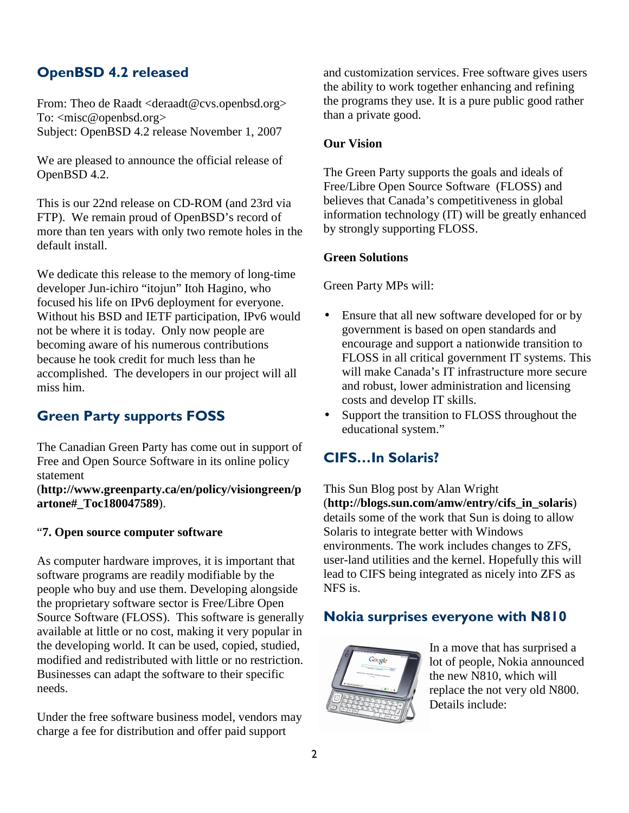# OpenBSD 4.2 released

From: Theo de Raadt <deraadt@cvs.openbsd.org> To: <misc@openbsd.org> Subject: OpenBSD 4.2 release November 1, 2007

We are pleased to announce the official release of OpenBSD 4.2.

This is our 22nd release on CD-ROM (and 23rd via FTP). We remain proud of OpenBSD's record of more than ten years with only two remote holes in the default install.

We dedicate this release to the memory of long-time developer Jun-ichiro "itojun" Itoh Hagino, who focused his life on IPv6 deployment for everyone. Without his BSD and IETF participation, IPv6 would not be where it is today. Only now people are becoming aware of his numerous contributions because he took credit for much less than he accomplished. The developers in our project will all miss him.

# Green Party supports FOSS

The Canadian Green Party has come out in support of Free and Open Source Software in its online policy statement

(**http://www.greenparty.ca/en/policy/visiongreen/p artone#\_Toc180047589**).

#### "**7. Open source computer software**

As computer hardware improves, it is important that software programs are readily modifiable by the people who buy and use them. Developing alongside the proprietary software sector is Free/Libre Open Source Software (FLOSS). This software is generally available at little or no cost, making it very popular in the developing world. It can be used, copied, studied, modified and redistributed with little or no restriction. Businesses can adapt the software to their specific needs.

Under the free software business model, vendors may charge a fee for distribution and offer paid support

and customization services. Free software gives users the ability to work together enhancing and refining the programs they use. It is a pure public good rather than a private good.

#### **Our Vision**

The Green Party supports the goals and ideals of Free/Libre Open Source Software (FLOSS) and believes that Canada's competitiveness in global information technology (IT) will be greatly enhanced by strongly supporting FLOSS.

#### **Green Solutions**

Green Party MPs will:

- Ensure that all new software developed for or by government is based on open standards and encourage and support a nationwide transition to FLOSS in all critical government IT systems. This will make Canada's IT infrastructure more secure and robust, lower administration and licensing costs and develop IT skills.
- Support the transition to FLOSS throughout the educational system."

# CIFS…In Solaris?

This Sun Blog post by Alan Wright (**http://blogs.sun.com/amw/entry/cifs\_in\_solaris**) details some of the work that Sun is doing to allow Solaris to integrate better with Windows environments. The work includes changes to ZFS, user-land utilities and the kernel. Hopefully this will lead to CIFS being integrated as nicely into ZFS as NFS is.

## Nokia surprises everyone with N810



In a move that has surprised a lot of people, Nokia announced the new N810, which will replace the not very old N800. Details include: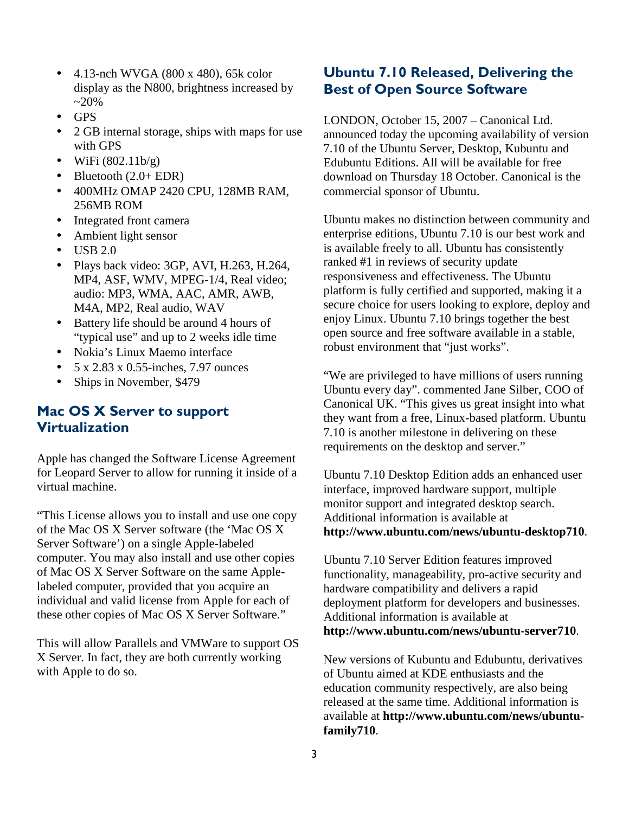- 4.13-nch WVGA (800 x 480), 65k color display as the N800, brightness increased by  $~20\%$
- GPS
- 2 GB internal storage, ships with maps for use with GPS
- WiFi  $(802.11b/g)$
- Bluetooth  $(2.0 + EDR)$
- 400MHz OMAP 2420 CPU, 128MB RAM, 256MB ROM
- Integrated front camera
- Ambient light sensor
- $\bullet$  USB 2.0
- Plays back video: 3GP, AVI, H.263, H.264, MP4, ASF, WMV, MPEG-1/4, Real video; audio: MP3, WMA, AAC, AMR, AWB, M4A, MP2, Real audio, WAV
- Battery life should be around 4 hours of "typical use" and up to 2 weeks idle time
- Nokia's Linux Maemo interface
- $5 \times 2.83 \times 0.55$ -inches, 7.97 ounces
- Ships in November, \$479

## Mac OS X Server to support **Virtualization**

Apple has changed the Software License Agreement for Leopard Server to allow for running it inside of a virtual machine.

"This License allows you to install and use one copy of the Mac OS X Server software (the 'Mac OS X Server Software') on a single Apple-labeled computer. You may also install and use other copies of Mac OS X Server Software on the same Applelabeled computer, provided that you acquire an individual and valid license from Apple for each of these other copies of Mac OS X Server Software."

This will allow Parallels and VMWare to support OS X Server. In fact, they are both currently working with Apple to do so.

### Ubuntu 7.10 Released, Delivering the Best of Open Source Software

LONDON, October 15, 2007 – Canonical Ltd. announced today the upcoming availability of version 7.10 of the Ubuntu Server, Desktop, Kubuntu and Edubuntu Editions. All will be available for free download on Thursday 18 October. Canonical is the commercial sponsor of Ubuntu.

Ubuntu makes no distinction between community and enterprise editions, Ubuntu 7.10 is our best work and is available freely to all. Ubuntu has consistently ranked #1 in reviews of security update responsiveness and effectiveness. The Ubuntu platform is fully certified and supported, making it a secure choice for users looking to explore, deploy and enjoy Linux. Ubuntu 7.10 brings together the best open source and free software available in a stable, robust environment that "just works".

"We are privileged to have millions of users running Ubuntu every day". commented Jane Silber, COO of Canonical UK. "This gives us great insight into what they want from a free, Linux-based platform. Ubuntu 7.10 is another milestone in delivering on these requirements on the desktop and server."

Ubuntu 7.10 Desktop Edition adds an enhanced user interface, improved hardware support, multiple monitor support and integrated desktop search. Additional information is available at **http://www.ubuntu.com/news/ubuntu-desktop710**.

Ubuntu 7.10 Server Edition features improved functionality, manageability, pro-active security and hardware compatibility and delivers a rapid deployment platform for developers and businesses. Additional information is available at **http://www.ubuntu.com/news/ubuntu-server710**.

New versions of Kubuntu and Edubuntu, derivatives of Ubuntu aimed at KDE enthusiasts and the education community respectively, are also being released at the same time. Additional information is available at **http://www.ubuntu.com/news/ubuntufamily710**.